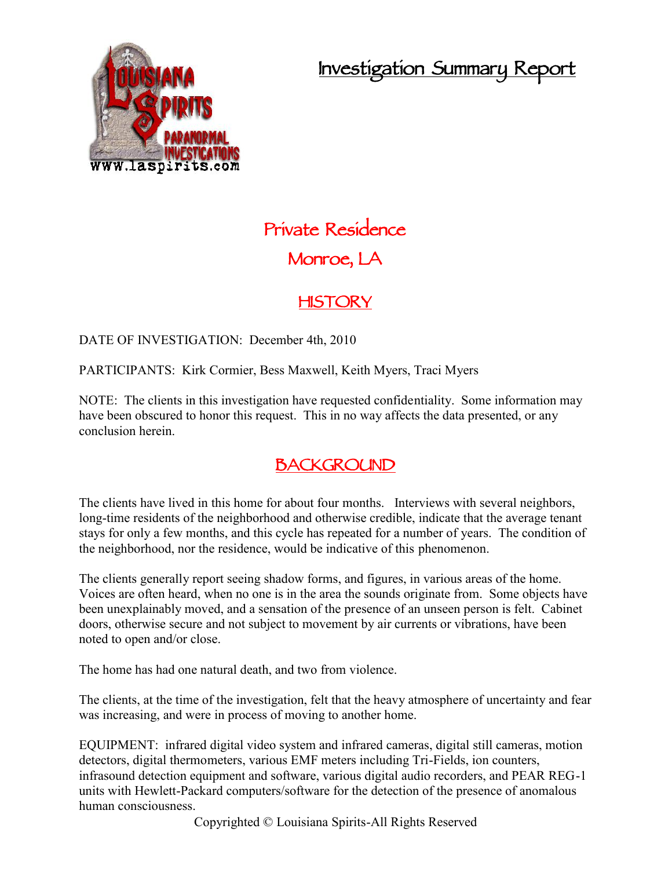## **Investigation Summary Report**



# **Private Residence Monroe, LA**

### **HISTORY**

DATE OF INVESTIGATION: December 4th, 2010

PARTICIPANTS: Kirk Cormier, Bess Maxwell, Keith Myers, Traci Myers

NOTE: The clients in this investigation have requested confidentiality. Some information may have been obscured to honor this request. This in no way affects the data presented, or any conclusion herein.

## **BACKGROUND**

The clients have lived in this home for about four months. Interviews with several neighbors, long-time residents of the neighborhood and otherwise credible, indicate that the average tenant stays for only a few months, and this cycle has repeated for a number of years. The condition of the neighborhood, nor the residence, would be indicative of this phenomenon.

The clients generally report seeing shadow forms, and figures, in various areas of the home. Voices are often heard, when no one is in the area the sounds originate from. Some objects have been unexplainably moved, and a sensation of the presence of an unseen person is felt. Cabinet doors, otherwise secure and not subject to movement by air currents or vibrations, have been noted to open and/or close.

The home has had one natural death, and two from violence.

The clients, at the time of the investigation, felt that the heavy atmosphere of uncertainty and fear was increasing, and were in process of moving to another home.

EQUIPMENT: infrared digital video system and infrared cameras, digital still cameras, motion detectors, digital thermometers, various EMF meters including Tri-Fields, ion counters, infrasound detection equipment and software, various digital audio recorders, and PEAR REG-1 units with Hewlett-Packard computers/software for the detection of the presence of anomalous human consciousness.

Copyrighted © Louisiana Spirits-All Rights Reserved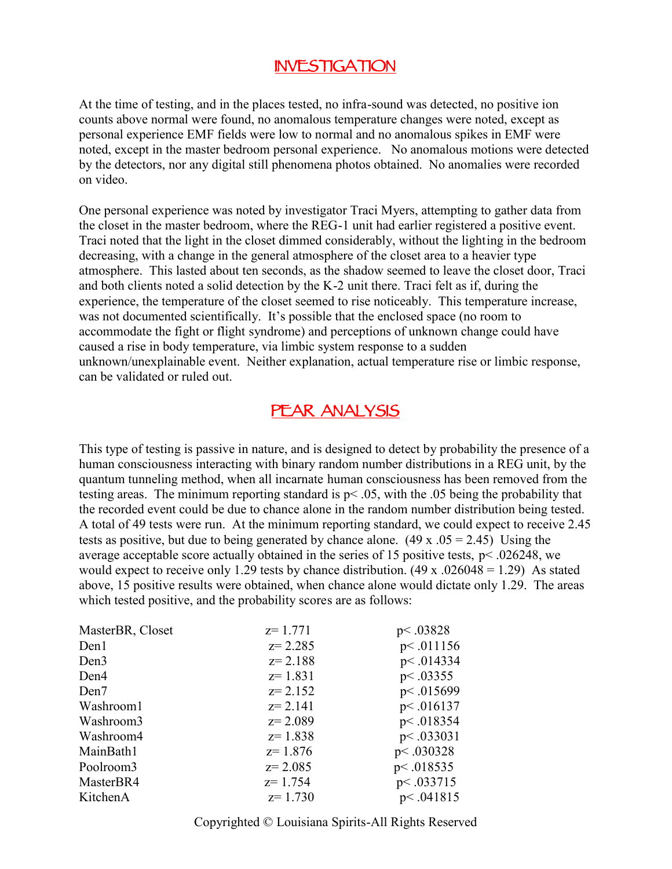#### **INVESTIGATION**

At the time of testing, and in the places tested, no infra-sound was detected, no positive ion counts above normal were found, no anomalous temperature changes were noted, except as personal experience EMF fields were low to normal and no anomalous spikes in EMF were noted, except in the master bedroom personal experience. No anomalous motions were detected by the detectors, nor any digital still phenomena photos obtained. No anomalies were recorded on video.

One personal experience was noted by investigator Traci Myers, attempting to gather data from the closet in the master bedroom, where the REG-1 unit had earlier registered a positive event. Traci noted that the light in the closet dimmed considerably, without the lighting in the bedroom decreasing, with a change in the general atmosphere of the closet area to a heavier type atmosphere. This lasted about ten seconds, as the shadow seemed to leave the closet door, Traci and both clients noted a solid detection by the K-2 unit there. Traci felt as if, during the experience, the temperature of the closet seemed to rise noticeably. This temperature increase, was not documented scientifically. It's possible that the enclosed space (no room to accommodate the fight or flight syndrome) and perceptions of unknown change could have caused a rise in body temperature, via limbic system response to a sudden unknown/unexplainable event. Neither explanation, actual temperature rise or limbic response, can be validated or ruled out.

#### **PEAR ANALYSIS**

This type of testing is passive in nature, and is designed to detect by probability the presence of a human consciousness interacting with binary random number distributions in a REG unit, by the quantum tunneling method, when all incarnate human consciousness has been removed from the testing areas. The minimum reporting standard is  $p < .05$ , with the  $.05$  being the probability that the recorded event could be due to chance alone in the random number distribution being tested. A total of 49 tests were run. At the minimum reporting standard, we could expect to receive 2.45 tests as positive, but due to being generated by chance alone.  $(49 \times .05 = 2.45)$  Using the average acceptable score actually obtained in the series of 15 positive tests, p< .026248, we would expect to receive only 1.29 tests by chance distribution.  $(49 \times .026048 = 1.29)$  As stated above, 15 positive results were obtained, when chance alone would dictate only 1.29. The areas which tested positive, and the probability scores are as follows:

| $z=1.771$   | p<.03828  |
|-------------|-----------|
| $z = 2.285$ | p<.011156 |
| $z = 2.188$ | p<.014334 |
| $z=1.831$   | p<.03355  |
| $z = 2.152$ | p<.015699 |
| $z = 2.141$ | p<.016137 |
| $z = 2.089$ | p<.018354 |
| $z=1.838$   | p<.033031 |
| $z = 1.876$ | p<.030328 |
| $z = 2.085$ | p<.018535 |
| $z = 1.754$ | p<.033715 |
| $z=1.730$   | p<.041815 |
|             |           |

Copyrighted © Louisiana Spirits-All Rights Reserved